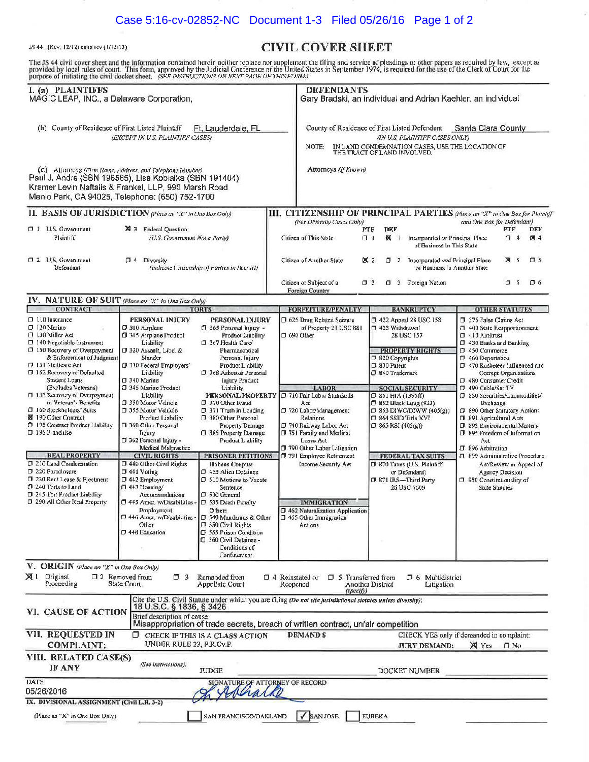## Case 5:16-cv-02852-NC Document 1-3 Filed 05/26/16 Page 1 of 2

## JS 44 (Rev. 12/12) cajid rev (1/15/13) **CIVIL COVER SHEET**

 $\mathcal{D}$ 

The JS 44 civil cover sheet and the information contained herein neither replace nor supplement the filing and service of pleadings or other papers as required by law, except as<br>provided by local rules of court. This form, **I. (a) PLAINTIFFS DEFENDANTS**  ı

| MAGIC LEAP, INC., a Delaware Corporation,                                                                                                                                                                                     |                                                                                                                                                                                                                 |                                                                                                                                                                                                        |                                    | Gary Bradski, an individual and Adrian Kaehler, an individual                                                                                                                                 |                                                                         |                                                                                                                                                                             |                                                              |                                                                                                                                                                                                                                                                |                 |            |  |
|-------------------------------------------------------------------------------------------------------------------------------------------------------------------------------------------------------------------------------|-----------------------------------------------------------------------------------------------------------------------------------------------------------------------------------------------------------------|--------------------------------------------------------------------------------------------------------------------------------------------------------------------------------------------------------|------------------------------------|-----------------------------------------------------------------------------------------------------------------------------------------------------------------------------------------------|-------------------------------------------------------------------------|-----------------------------------------------------------------------------------------------------------------------------------------------------------------------------|--------------------------------------------------------------|----------------------------------------------------------------------------------------------------------------------------------------------------------------------------------------------------------------------------------------------------------------|-----------------|------------|--|
| (b) County of Residence of First Listed Plaintiff<br>Ft, Lauderdale, FL<br>(EXCEPT IN U.S. PLAINTIFF CASES)                                                                                                                   |                                                                                                                                                                                                                 |                                                                                                                                                                                                        |                                    | County of Residence of First Listed Defendant<br>Santa Clara County<br>(IN U.S. PLAINTIFF CASES ONLY)<br>IN LAND CONDEMNATION CASES, USE THE LOCATION OF THE TRACT OF LAND INVOLVED.<br>NOTE: |                                                                         |                                                                                                                                                                             |                                                              |                                                                                                                                                                                                                                                                |                 |            |  |
| (c) Attorneys (Firm Name, Address, and Telephone Number)<br>Paul J. Andre (SBN 196585), Lisa Kobialka (SBN 191404)<br>Kramer Levin Naftalis & Frankel, LLP, 990 Marsh Road<br>Menlo Park, CA 94025, Telephone: (650) 752-1700 |                                                                                                                                                                                                                 |                                                                                                                                                                                                        |                                    | Attorneys (If Known)                                                                                                                                                                          |                                                                         |                                                                                                                                                                             |                                                              |                                                                                                                                                                                                                                                                |                 |            |  |
| II. BASIS OF JURISDICTION (Flave an "X" in One Box Only)                                                                                                                                                                      |                                                                                                                                                                                                                 |                                                                                                                                                                                                        |                                    | III. CITIZENSHIP OF PRINCIPAL PARTIES (Place an "X" in One Box for Plaintiff                                                                                                                  |                                                                         |                                                                                                                                                                             |                                                              |                                                                                                                                                                                                                                                                |                 |            |  |
| $\Box$ 1 U.S. Government<br>Plaintiff                                                                                                                                                                                         | 29 3 Federal Question<br>(U.S. Government Not a Party)                                                                                                                                                          |                                                                                                                                                                                                        |                                    | (For Diversity Cases Only)<br>PTF<br>Citizen of This State<br>$\Box$                                                                                                                          |                                                                         |                                                                                                                                                                             | Incorporated or Principal Place<br>of Business In This State | and One Box for Defendant)                                                                                                                                                                                                                                     | PTF<br>$\Box$ 4 | DEF<br>区 4 |  |
| D 2 U.S. Government<br>Defendant                                                                                                                                                                                              | $\square$ 4<br>Diversity<br>(Indicate Citizenship of Parties in Item III)                                                                                                                                       |                                                                                                                                                                                                        | Citizen of Another State           | <b>X</b> 2<br>σ                                                                                                                                                                               |                                                                         | 2 Incorporated and Principal Place<br>of Business In Another State                                                                                                          |                                                              | <b>X</b> 5                                                                                                                                                                                                                                                     | $\square$ 5     |            |  |
|                                                                                                                                                                                                                               |                                                                                                                                                                                                                 |                                                                                                                                                                                                        |                                    | Citizen or Subject of a<br>Foreign Country                                                                                                                                                    | $\Box$ 3                                                                |                                                                                                                                                                             | C 3 Foreign Nation                                           |                                                                                                                                                                                                                                                                | <b>D</b> 6      | 76         |  |
| IV. NATURE OF SUIT (Place an "X" in One Box Only)                                                                                                                                                                             |                                                                                                                                                                                                                 |                                                                                                                                                                                                        |                                    |                                                                                                                                                                                               |                                                                         |                                                                                                                                                                             |                                                              |                                                                                                                                                                                                                                                                |                 |            |  |
| <b>CONTRACT</b><br><b>TORTS</b><br>$\Box$ 110 Insurance<br>PERSONAL INJURY<br>PERSONAL INJURY                                                                                                                                 |                                                                                                                                                                                                                 |                                                                                                                                                                                                        |                                    | <b>FORFEITURE/PENALTY</b><br>1 625 Drug Related Seizure                                                                                                                                       |                                                                         |                                                                                                                                                                             | <b>BANKRUPTCY</b><br>7422 Appeal 28 USC 158                  | <b>OTHER STATUTES</b><br>375 False Claims Act                                                                                                                                                                                                                  |                 |            |  |
| $7120$ Marine<br>□ 130 Miller Act<br>$\Box$ 140 Negotiable Instrument<br>□ 150 Recovery of Overpayment<br>& Enforcement of Judgment<br>D 151 Medicare Act<br>□ 152 Recovery of Defaulted                                      | D 310 Airplane<br>315 Airplane Product<br>Liability<br>D 320 Assault, Libel &<br>Slander<br>330 Federal Employers'<br>Liability                                                                                 | 365 Personal Injury -<br>Product Liability<br>7 367 Health Care/<br>Pharmaceutical<br>Personal Injury<br>Product Liability<br>□ 368 Asbestos Personal                                                  |                                    | of Property 21 USC 881<br>$\square$ 690 Other                                                                                                                                                 | 7 423 Withdrawal<br>7 820 Copyrights<br>D 830 Patent<br>□ 840 Trademark | 28 USC 157                                                                                                                                                                  | <b>PROPERTY RIGHTS</b>                                       | CJ 400 State Reapportionment<br>C 410 Antitrust<br>1 430 Banks and Banking<br>C 450 Commerce<br>7 460 Deportation<br>□ 470 Racketeer Influenced and<br>Corrupt Organizations                                                                                   |                 |            |  |
| Student Loans<br>(Excludes Veterans)<br>$\square$ 153 Recovery of Overpayment<br>of Veteran's Benefits<br>D 160 Stockholders' Suits<br>图 190 Other Contract<br>C 195 Contract Product Liability<br>□ 196 Franchise            | C 340 Marine<br>C 345 Marine Product<br>Liability<br>□ 350 Motor Velricle<br>□ 355 Motor Velticle<br>Product Liability<br>360 Other Personal<br><b>Injury</b><br>[ 362 Personal Injury -<br>Medical Malpractice | <b>Injury Product</b><br>Liability<br>PERSONAL PROPERTY<br>J 370 Other Fraud<br>7 371 Truth in Lending<br>7 380 Other Personal<br>Property Damage<br><b>O</b> 385 Property Damage<br>Product Liability |                                    | <b>LABOR</b><br>710 Fair Labor Standards<br>Act<br>720 Labor/Management<br>Relations<br>740 Railway Labor Act<br>751 Family and Medical<br>Leave Act<br>790 Other Labor Litigation            |                                                                         | <b>SOCIAL SECURITY</b><br>$\Box$ 861 HIA (1395ff)<br><b>7 862 Black Lung (923)</b><br>$\Box$ 863 DIWC/DIWW (405(g))<br>$\Box$ 864 SSID Title XVI<br>$\Box$ 865 RSI (405(g)) |                                                              | 480 Consumer Credit<br>7 490 Cable/Sat TV<br>350 Securities/Commodities/<br>Exchange<br>7 890 Other Statutory Actions<br><b>D</b> 891 Agricultural Acts<br><sup>1</sup> 893 Environmental Matters<br>7 895 Freedom of Information<br>Act<br>CI 896 Arbitration |                 |            |  |
| <b>REAL PROPERTY</b>                                                                                                                                                                                                          | <b>CIVIL RIGHTS</b>                                                                                                                                                                                             | <b>PRISONER PETITIONS</b>                                                                                                                                                                              |                                    | 791 Employee Retirement                                                                                                                                                                       |                                                                         |                                                                                                                                                                             | <b>FEDERAL TAX SUITS</b>                                     | CI 899 Administrative Procedure                                                                                                                                                                                                                                |                 |            |  |
| C 210 Land Condemnation<br>D 220 Forcelosure<br>D 230 Rent Lease & Fjectment<br>7 240 Torts to Land<br>1 245 Tort Product Liability                                                                                           | 140 Other Civil Rights<br>$\square$ 441 Voting<br>$\square$ 442 Employment<br>$\Box$ 443 Housing/<br>Accommodations                                                                                             | Habeas Corpus:<br>C 463 Alien Detainee<br>C 510 Motions to Vacate<br>Sentence<br>D 530 General                                                                                                         |                                    | <b>Income Security Act</b>                                                                                                                                                                    |                                                                         | <b>J 870 Taxes (U.S. Plaintiff</b><br>or Defendant)<br>7 871 IRS-Third Party<br>26 USC 7609                                                                                 |                                                              | Act/Review or Appeal of<br>Agency Decision<br>1 950 Constitutionality of<br><b>State Statutes</b>                                                                                                                                                              |                 |            |  |
| D 290 All Other Real Property                                                                                                                                                                                                 | □ 445 Amer. w/Disabilities -<br>Employment<br>$\Box$ 446 Amer. w/Disabilities - $\Box$ 540 Mandamus & Other<br>Other<br>D 448 Education                                                                         | D 535 Death Penalty<br>Other:<br>J 550 Civil Rights<br><b>G</b> 555 Prison Condition<br><b>J</b> 560 Civil Detainee -<br>Conditions of<br>Confinement                                                  |                                    | <b>IMMIGRATION</b><br>□ 462 Naturalization Application<br>$\square$ 465 Other Immigration<br>Actions                                                                                          |                                                                         |                                                                                                                                                                             |                                                              |                                                                                                                                                                                                                                                                |                 |            |  |
| V. ORIGIN (Place an "X" in One Box Only)<br>Original<br>ЖI<br>Proceeding                                                                                                                                                      | CI 2 Removed from<br>$\Box$ 3<br>State Court                                                                                                                                                                    | Remanded from<br>Appellate Court                                                                                                                                                                       | $\Box$ 4 Reinstated or<br>Reopened | <b>C</b> 5 Transferred from<br>(specify)                                                                                                                                                      | Another District                                                        |                                                                                                                                                                             | <b>0</b> 6 Multidistrict<br>Litigation                       |                                                                                                                                                                                                                                                                |                 |            |  |
| VI. CAUSE OF ACTION                                                                                                                                                                                                           | 18 U.S.C. § 1836, § 3426<br>Brief description of cause:                                                                                                                                                         | Cite the U.S. Civil Statute under which you are filing (Do not cite incisdictional statutes unless diversity);<br>Misappropriation of trade secrets, breach of written contract, unfair competition    |                                    |                                                                                                                                                                                               |                                                                         |                                                                                                                                                                             |                                                              |                                                                                                                                                                                                                                                                |                 |            |  |
| VII. REQUESTED IN                                                                                                                                                                                                             |                                                                                                                                                                                                                 | <b>D</b> CHECK IF THIS IS A CLASS ACTION                                                                                                                                                               |                                    | <b>DEMANDS</b>                                                                                                                                                                                |                                                                         |                                                                                                                                                                             | CHECK YES only if demanded in complaint:                     |                                                                                                                                                                                                                                                                |                 |            |  |
| <b>COMPLAINT:</b>                                                                                                                                                                                                             | UNDER RULE 23, F.R.Cv.P.                                                                                                                                                                                        |                                                                                                                                                                                                        |                                    |                                                                                                                                                                                               |                                                                         |                                                                                                                                                                             | <b>JURY DEMAND:</b>                                          | X Yes                                                                                                                                                                                                                                                          | $\square$ No    |            |  |
| VIII. RELATED CASE(S)<br><b>IF ANY</b>                                                                                                                                                                                        | (See instructions):                                                                                                                                                                                             | JUDGE                                                                                                                                                                                                  |                                    |                                                                                                                                                                                               |                                                                         |                                                                                                                                                                             | DOCKET NUMBER                                                |                                                                                                                                                                                                                                                                |                 |            |  |
| DATE<br>05/26/2016                                                                                                                                                                                                            |                                                                                                                                                                                                                 | SIGNATURE OF ATTORNEY OF RECORD                                                                                                                                                                        |                                    |                                                                                                                                                                                               |                                                                         |                                                                                                                                                                             |                                                              |                                                                                                                                                                                                                                                                |                 |            |  |
| IX. DIVISIONAL ASSIGNMENT (Civil L.R. 3-2)                                                                                                                                                                                    |                                                                                                                                                                                                                 |                                                                                                                                                                                                        |                                    |                                                                                                                                                                                               |                                                                         |                                                                                                                                                                             |                                                              |                                                                                                                                                                                                                                                                |                 |            |  |
| (Place an "X" in One Box Only).                                                                                                                                                                                               |                                                                                                                                                                                                                 | SAN FRANCISCO/OAKLAND                                                                                                                                                                                  |                                    | $\sqrt{\frac{1}{2}}$ SAN JOSE                                                                                                                                                                 | <b>EUREKA</b>                                                           |                                                                                                                                                                             |                                                              |                                                                                                                                                                                                                                                                |                 |            |  |